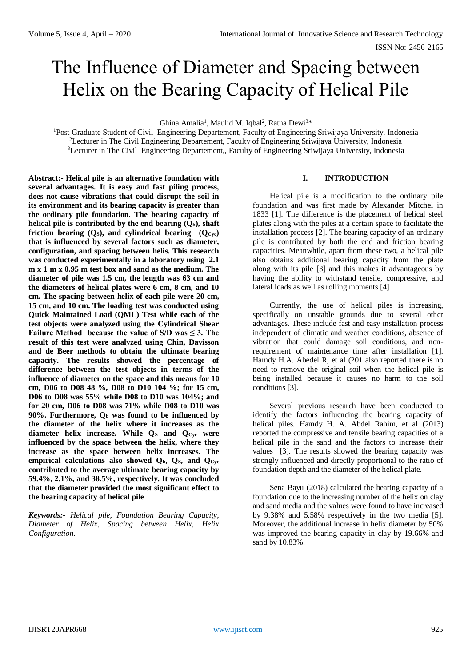# The Influence of Diameter and Spacing between Helix on the Bearing Capacity of Helical Pile

Ghina Amalia<sup>1</sup>, Maulid M. Iqbal<sup>2</sup>, Ratna Dewi<sup>3\*</sup>

<sup>1</sup>Post Graduate Student of Civil Engineering Departement, Faculty of Engineering Sriwijaya University, Indonesia <sup>2</sup>Lecturer in The Civil Engineering Departement, Faculty of Engineering Sriwijaya University, Indonesia <sup>3</sup>Lecturer in The Civil Engineering Departement,, Faculty of Engineering Sriwijaya University, Indonesia

**Abstract:- Helical pile is an alternative foundation with several advantages. It is easy and fast piling process, does not cause vibrations that could disrupt the soil in its environment and its bearing capacity is greater than the ordinary pile foundation. The bearing capacity of helical pile is contributed by the end bearing**  $(Q_b)$ **, shaft friction bearing (Q<sub>S</sub>), and cylindrical bearing**  $(Q<sub>Cyc</sub>)$ **that is influenced by several factors such as diameter, configuration, and spacing between helis. This research was conducted experimentally in a laboratory using 2.1 m x 1 m x 0.95 m test box and sand as the medium. The diameter of pile was 1.5 cm, the length was 63 cm and the diameters of helical plates were 6 cm, 8 cm, and 10 cm. The spacing between helix of each pile were 20 cm, 15 cm, and 10 cm. The loading test was conducted using Quick Maintained Load (QML) Test while each of the test objects were analyzed using the Cylindrical Shear**  Failure Method because the value of  $S/D$  was  $\leq 3$ . The **result of this test were analyzed using Chin, Davisson and de Beer methods to obtain the ultimate bearing capacity. The results showed the percentage of difference between the test objects in terms of the influence of diameter on the space and this means for 10 cm, D06 to D08 48 %, D08 to D10 104 %; for 15 cm, D06 to D08 was 55% while D08 to D10 was 104%; and for 20 cm, D06 to D08 was 71% while D08 to D10 was 90%. Furthermore, Q<sup>b</sup> was found to be influenced by the diameter of the helix where it increases as the diameter helix increase. While Q<sup>S</sup> and QCyc were influenced by the space between the helix, where they increase as the space between helix increases. The empirical calculations also showed Qb, QS, and QCyc contributed to the average ultimate bearing capacity by 59.4%, 2.1%, and 38.5%, respectively. It was concluded that the diameter provided the most significant effect to the bearing capacity of helical pile**

*Keywords:- Helical pile, Foundation Bearing Capacity, Diameter of Helix, Spacing between Helix, Helix Configuration.*

## **I. INTRODUCTION**

Helical pile is a modification to the ordinary pile foundation and was first made by Alexander Mitchel in 1833 [1]. The difference is the placement of helical steel plates along with the piles at a certain space to facilitate the installation process [2]. The bearing capacity of an ordinary pile is contributed by both the end and friction bearing capacities. Meanwhile, apart from these two, a helical pile also obtains additional bearing capacity from the plate along with its pile [3] and this makes it advantageous by having the ability to withstand tensile, compressive, and lateral loads as well as rolling moments [4]

Currently, the use of helical piles is increasing, specifically on unstable grounds due to several other advantages. These include fast and easy installation process independent of climatic and weather conditions, absence of vibration that could damage soil conditions, and nonrequirement of maintenance time after installation [1]. Hamdy H.A. Abedel R, et al (201 also reported there is no need to remove the original soil when the helical pile is being installed because it causes no harm to the soil conditions [3].

Several previous research have been conducted to identify the factors influencing the bearing capacity of helical piles. Hamdy H. A. Abdel Rahim, et al (2013) reported the compressive and tensile bearing capacities of a helical pile in the sand and the factors to increase their values [3]. The results showed the bearing capacity was strongly influenced and directly proportional to the ratio of foundation depth and the diameter of the helical plate.

Sena Bayu (2018) calculated the bearing capacity of a foundation due to the increasing number of the helix on clay and sand media and the values were found to have increased by 9.38% and 5.58% respectively in the two media [5]. Moreover, the additional increase in helix diameter by 50% was improved the bearing capacity in clay by 19.66% and sand by 10.83%.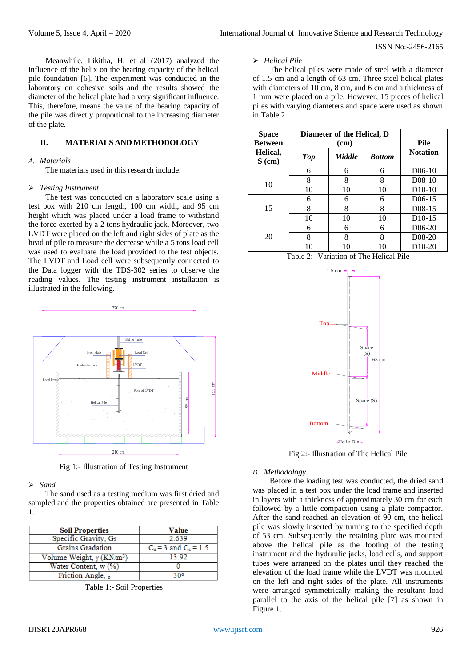ISSN No:-2456-2165

Meanwhile, Likitha, H. et al (2017) analyzed the influence of the helix on the bearing capacity of the helical pile foundation [6]. The experiment was conducted in the laboratory on cohesive soils and the results showed the diameter of the helical plate had a very significant influence. This, therefore, means the value of the bearing capacity of the pile was directly proportional to the increasing diameter of the plate.

# **II. MATERIALS AND METHODOLOGY**

## *A. Materials*

The materials used in this research include:

#### *Testing Instrument*

The test was conducted on a laboratory scale using a test box with 210 cm length, 100 cm width, and 95 cm height which was placed under a load frame to withstand the force exerted by a 2 tons hydraulic jack. Moreover, two LVDT were placed on the left and right sides of plate as the head of pile to measure the decrease while a 5 tons load cell was used to evaluate the load provided to the test objects. The LVDT and Load cell were subsequently connected to the Data logger with the TDS-302 series to observe the reading values. The testing instrument installation is illustrated in the following.



Fig 1:- Illustration of Testing Instrument

#### *Sand*

The sand used as a testing medium was first dried and sampled and the properties obtained are presented in Table 1.

| <b>Soil Properties</b>                       | Value                     |
|----------------------------------------------|---------------------------|
| Specific Gravity, Gs                         | 2.639                     |
| <b>Grains Gradation</b>                      | $C_u = 3$ and $C_c = 1.5$ |
| Volume Weight, $\gamma$ (KN/m <sup>3</sup> ) | 13.92                     |
| Water Content, w (%)                         |                           |
| Friction Angle, .                            | २००                       |

Table 1:- Soil Properties

## *Helical Pile*

The helical piles were made of steel with a diameter of 1.5 cm and a length of 63 cm. Three steel helical plates with diameters of 10 cm, 8 cm, and 6 cm and a thickness of 1 mm were placed on a pile. However, 15 pieces of helical piles with varying diameters and space were used as shown in Table 2

| <b>Space</b><br><b>Between</b> | Diameter of the Helical, D | <b>Pile</b><br><b>Notation</b> |    |                     |
|--------------------------------|----------------------------|--------------------------------|----|---------------------|
| Helical,<br>$S$ (cm)           | Top                        |                                |    |                     |
|                                | 6                          | 6                              | 6  | $D06-10$            |
|                                | 8                          | 8                              | 8  | $D08-10$            |
| 10                             | 10                         | 10                             | 10 | $D10-10$            |
|                                | 6                          | 6                              | 6  | D <sub>06</sub> -15 |
| 15                             | 8                          | 8                              | 8  | D <sub>08</sub> -15 |
|                                | 10                         | 10                             | 10 | D10-15              |
| 20                             | 6                          | 6                              | 6  | D <sub>06</sub> -20 |
|                                | 8                          | 8                              | 8  | D <sub>0</sub> 8-20 |
|                                | 10                         | 10                             | 10 | D <sub>10</sub> -20 |





Fig 2:- Illustration of The Helical Pile

#### *B. Methodology*

Before the loading test was conducted, the dried sand was placed in a test box under the load frame and inserted in layers with a thickness of approximately 30 cm for each followed by a little compaction using a plate compactor. After the sand reached an elevation of 90 cm, the helical pile was slowly inserted by turning to the specified depth of 53 cm. Subsequently, the retaining plate was mounted above the helical pile as the footing of the testing instrument and the hydraulic jacks, load cells, and support tubes were arranged on the plates until they reached the elevation of the load frame while the LVDT was mounted on the left and right sides of the plate. All instruments were arranged symmetrically making the resultant load parallel to the axis of the helical pile [7] as shown in Figure 1.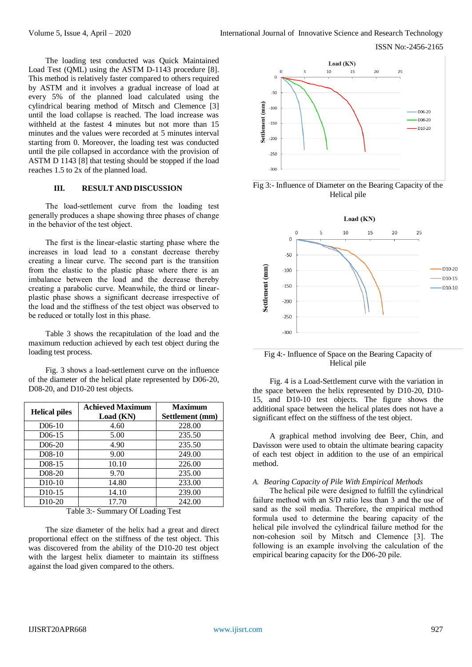ISSN No:-2456-2165

The loading test conducted was Quick Maintained Load Test (QML) using the ASTM D-1143 procedure [8]. This method is relatively faster compared to others required by ASTM and it involves a gradual increase of load at every 5% of the planned load calculated using the cylindrical bearing method of Mitsch and Clemence [3] until the load collapse is reached. The load increase was withheld at the fastest 4 minutes but not more than 15 minutes and the values were recorded at 5 minutes interval starting from 0. Moreover, the loading test was conducted until the pile collapsed in accordance with the provision of ASTM D 1143 [8] that testing should be stopped if the load reaches 1.5 to 2x of the planned load.

# **III. RESULT AND DISCUSSION**

The load-settlement curve from the loading test generally produces a shape showing three phases of change in the behavior of the test object.

The first is the linear-elastic starting phase where the increases in load lead to a constant decrease thereby creating a linear curve. The second part is the transition from the elastic to the plastic phase where there is an imbalance between the load and the decrease thereby creating a parabolic curve. Meanwhile, the third or linearplastic phase shows a significant decrease irrespective of the load and the stiffness of the test object was observed to be reduced or totally lost in this phase.

Table 3 shows the recapitulation of the load and the maximum reduction achieved by each test object during the loading test process.

Fig. 3 shows a load-settlement curve on the influence of the diameter of the helical plate represented by D06-20, D08-20, and D10-20 test objects.

| <b>Helical piles</b> | <b>Achieved Maximum</b><br>Load (KN) | <b>Maximum</b><br>Settlement (mm) |  |  |  |
|----------------------|--------------------------------------|-----------------------------------|--|--|--|
| D <sub>06</sub> -10  | 4.60                                 | 228.00                            |  |  |  |
| D <sub>06</sub> -15  | 5.00                                 | 235.50                            |  |  |  |
| D <sub>06</sub> -20  | 4.90                                 | 235.50                            |  |  |  |
| $D08-10$             | 9.00                                 | 249.00                            |  |  |  |
| D <sub>08</sub> -15  | 10.10                                | 226.00                            |  |  |  |
| D <sub>0</sub> 8-20  | 9.70                                 | 235.00                            |  |  |  |
| $D10-10$             | 14.80                                | 233.00                            |  |  |  |
| D <sub>10</sub> -15  | 14.10                                | 239.00                            |  |  |  |
| D <sub>10</sub> -20  | 17.70                                | 242.00                            |  |  |  |

Table 3:- Summary Of Loading Test

The size diameter of the helix had a great and direct proportional effect on the stiffness of the test object. This was discovered from the ability of the D10-20 test object with the largest helix diameter to maintain its stiffness against the load given compared to the others.



Fig 3:- Influence of Diameter on the Bearing Capacity of the Helical pile



Fig 4:- Influence of Space on the Bearing Capacity of Helical pile

Fig. 4 is a Load-Settlement curve with the variation in the space between the helix represented by D10-20, D10- 15, and D10-10 test objects. The figure shows the additional space between the helical plates does not have a significant effect on the stiffness of the test object.

A graphical method involving dee Beer, Chin, and Davisson were used to obtain the ultimate bearing capacity of each test object in addition to the use of an empirical method.

#### *A. Bearing Capacity of Pile With Empirical Methods*

The helical pile were designed to fulfill the cylindrical failure method with an S/D ratio less than 3 and the use of sand as the soil media. Therefore, the empirical method formula used to determine the bearing capacity of the helical pile involved the cylindrical failure method for the non-cohesion soil by Mitsch and Clemence [3]. The following is an example involving the calculation of the empirical bearing capacity for the D06-20 pile.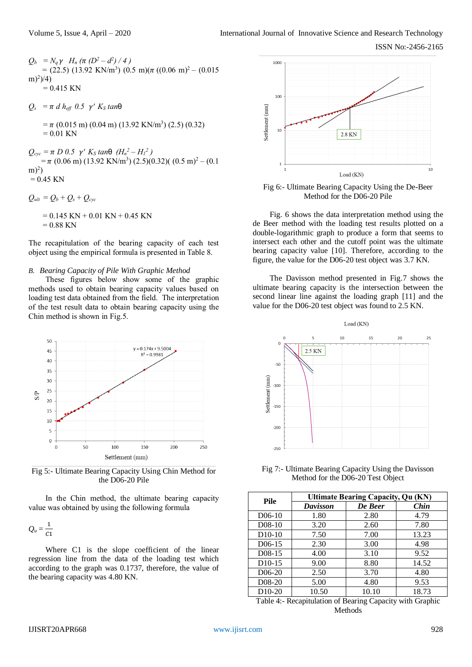- $Q_b = N_q \gamma$   $H_n (\pi (D^2 d^2)/4)$  $= (22.5) (13.92 \text{ KN/m}^3) (0.5 \text{ m}) (\pi ((0.06 \text{ m})^2 - (0.015 \text{ m}))$  $m)^2$ )/4)  $= 0.415$  KN
- $Q_s = \pi d h_{\text{eff}} 0.5 \gamma' K_s \tan\theta$ 
	- $= \pi (0.015 \text{ m}) (0.04 \text{ m}) (13.92 \text{ KN/m}^3) (2.5) (0.32)$  $= 0.01$  KN
- $Q_{cyc} = \pi D \cdot 0.5 \quad \gamma' K_S \cdot \tan\theta \quad (H_n^2 H_1^2)$  $= \pi (0.06 \text{ m}) (13.92 \text{ KN/m}^3) (2.5)(0.32)(0.5 \text{ m})^2 - (0.1 \text{ m})^3$  $(m)<sup>2</sup>$  $= 0.45$  KN
- $Q_{ult} = Q_b + Q_s + Q_{cyc}$ 
	- $= 0.145$  KN + 0.01 KN + 0.45 KN  $= 0.88$  KN

The recapitulation of the bearing capacity of each test object using the empirical formula is presented in Table 8.

#### *B. Bearing Capacity of Pile With Graphic Method*

These figures below show some of the graphic methods used to obtain bearing capacity values based on loading test data obtained from the field. The interpretation of the test result data to obtain bearing capacity using the Chin method is shown in Fig.5.



Fig 5:- Ultimate Bearing Capacity Using Chin Method for the D06-20 Pile

In the Chin method, the ultimate bearing capacity value was obtained by using the following formula

$$
Q_u=\frac{1}{C1}
$$

Where C1 is the slope coefficient of the linear regression line from the data of the loading test which according to the graph was 0.1737, therefore, the value of the bearing capacity was 4.80 KN.



Fig 6:- Ultimate Bearing Capacity Using the De-Beer Method for the D06-20 Pile

Fig. 6 shows the data interpretation method using the de Beer method with the loading test results plotted on a double-logarithmic graph to produce a form that seems to intersect each other and the cutoff point was the ultimate bearing capacity value [10]. Therefore, according to the figure, the value for the D06-20 test object was 3.7 KN.

The Davisson method presented in Fig.7 shows the ultimate bearing capacity is the intersection between the second linear line against the loading graph [11] and the value for the D06-20 test object was found to 2.5 KN.



Fig 7:- Ultimate Bearing Capacity Using the Davisson Method for the D06-20 Test Object

| <b>Pile</b>         | <b>Ultimate Bearing Capacity, Qu (KN)</b> |         |       |  |  |  |  |  |
|---------------------|-------------------------------------------|---------|-------|--|--|--|--|--|
|                     | <b>Davisson</b>                           | De Beer | Chin  |  |  |  |  |  |
| $D06-10$            | 1.80                                      | 2.80    | 4.79  |  |  |  |  |  |
| $D08-10$            | 3.20                                      | 2.60    | 7.80  |  |  |  |  |  |
| $D10-10$            | 7.50                                      | 7.00    | 13.23 |  |  |  |  |  |
| D <sub>06</sub> -15 | 2.30                                      | 3.00    | 4.98  |  |  |  |  |  |
| D <sub>0</sub> 8-15 | 4.00                                      | 3.10    | 9.52  |  |  |  |  |  |
| $D10-15$            | 9.00                                      | 8.80    | 14.52 |  |  |  |  |  |
| D <sub>06</sub> -20 | 2.50                                      | 3.70    | 4.80  |  |  |  |  |  |
| D <sub>0</sub> 8-20 | 5.00                                      | 4.80    | 9.53  |  |  |  |  |  |
| D <sub>10</sub> -20 | 10.50                                     | 10.10   | 18.73 |  |  |  |  |  |

Table 4:- Recapitulation of Bearing Capacity with Graphic Methods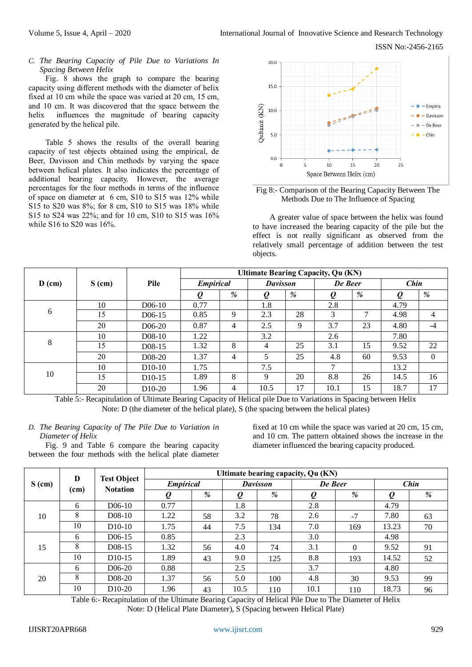ISSN No:-2456-2165

*C. The Bearing Capacity of Pile Due to Variations In Spacing Between Helix*

Fig. 8 shows the graph to compare the bearing capacity using different methods with the diameter of helix fixed at 10 cm while the space was varied at 20 cm, 15 cm, and 10 cm. It was discovered that the space between the helix influences the magnitude of bearing capacity generated by the helical pile.

Table 5 shows the results of the overall bearing capacity of test objects obtained using the empirical, de Beer, Davisson and Chin methods by varying the space between helical plates. It also indicates the percentage of additional bearing capacity. However, the average percentages for the four methods in terms of the influence of space on diameter at 6 cm, S10 to S15 was 12% while S15 to S20 was 8%; for 8 cm, S10 to S15 was 18% while S15 to S24 was 22%; and for 10 cm, S10 to S15 was 16% while S16 to S20 was 16%.



Fig 8:- Comparison of the Bearing Capacity Between The Methods Due to The Influence of Spacing

A greater value of space between the helix was found to have increased the bearing capacity of the pile but the effect is not really significant as observed from the relatively small percentage of addition between the test objects.

|          |          |                     | <b>Ultimate Bearing Capacity, Qu (KN)</b> |   |                 |    |               |    |      |          |
|----------|----------|---------------------|-------------------------------------------|---|-----------------|----|---------------|----|------|----------|
| $D$ (cm) | $S$ (cm) | Pile                | <b>Empirical</b>                          |   | <b>Davisson</b> |    | De Beer       |    | Chin |          |
|          |          |                     | O                                         | % |                 | %  | Q             | %  | O    | %        |
|          | 10       | $D06-10$            | 0.77                                      |   | 1.8             |    | 2.8           |    | 4.79 |          |
| 6        | 15       | $D06-15$            | 0.85                                      | 9 | 2.3             | 28 | 3             | 7  | 4.98 | 4        |
|          | 20       | D <sub>06</sub> -20 | 0.87                                      | 4 | 2.5             | 9  | 3.7           | 23 | 4.80 | $-4$     |
|          | 10       | $D08-10$            | 1.22                                      |   | 3.2             |    | 2.6           |    | 7.80 |          |
| 8        | 15       | $D08-15$            | 1.32                                      | 8 | $\overline{4}$  | 25 | 3.1           | 15 | 9.52 | 22       |
|          | 20       | $D08-20$            | 1.37                                      | 4 | 5               | 25 | 4.8           | 60 | 9.53 | $\Omega$ |
| 10       | 10       | $D10-10$            | 1.75                                      |   | 7.5             |    | $\mathcal{I}$ |    | 13.2 |          |
|          | 15       | $D10-15$            | 1.89                                      | 8 | 9               | 20 | 8.8           | 26 | 14.5 | 16       |
|          | 20       | $D10-20$            | 1.96                                      | 4 | 10.5            | 17 | 10.1          | 15 | 18.7 | 17       |

Table 5:- Recapitulation of Ultimate Bearing Capacity of Helical pile Due to Variations in Spacing between Helix Note: D (the diameter of the helical plate), S (the spacing between the helical plates)

## *D. The Bearing Capacity of The Pile Due to Variation in Diameter of Helix*

Fig. 9 and Table 6 compare the bearing capacity between the four methods with the helical plate diameter

fixed at 10 cm while the space was varied at 20 cm, 15 cm, and 10 cm. The pattern obtained shows the increase in the diameter influenced the bearing capacity produced.

| $S$ (cm) | D    |                                       | Ultimate bearing capacity, Qu (KN) |    |                 |     |           |          |       |    |  |  |
|----------|------|---------------------------------------|------------------------------------|----|-----------------|-----|-----------|----------|-------|----|--|--|
|          | (cm) | <b>Test Object</b><br><b>Notation</b> | <b>Empirical</b>                   |    | <b>Davisson</b> |     | De Beer   |          | Chin  |    |  |  |
|          |      |                                       | $\boldsymbol{\varrho}$             | %  | $\varrho$       | %   | $\varrho$ | %        | Q     | %  |  |  |
|          | 6    | $D06-10$                              | 0.77                               |    | 1.8             |     | 2.8       |          | 4.79  |    |  |  |
| 10       | 8    | D <sub>08</sub> -10                   | 1.22                               | 58 | 3.2             | 78  | 2.6       | $-7$     | 7.80  | 63 |  |  |
|          | 10   | $D10-10$                              | 1.75                               | 44 | 7.5             | 134 | 7.0       | 169      | 13.23 | 70 |  |  |
|          | 6    | D <sub>06</sub> -15                   | 0.85                               |    | 2.3             |     | 3.0       |          | 4.98  |    |  |  |
| 15       | 8    | D <sub>0</sub> 8-15                   | 1.32                               | 56 | 4.0             | 74  | 3.1       | $\Omega$ | 9.52  | 91 |  |  |
|          | 10   | $D10-15$                              | 1.89                               | 43 | 9.0             | 125 | 8.8       | 193      | 14.52 | 52 |  |  |
| 20       | 6    | D <sub>06</sub> -20                   | 0.88                               |    | 2.5             |     | 3.7       |          | 4.80  |    |  |  |
|          | 8    | D <sub>0</sub> 8-20                   | 1.37                               | 56 | 5.0             | 100 | 4.8       | 30       | 9.53  | 99 |  |  |
|          | 10   | $D10-20$                              | 1.96                               | 43 | 10.5            | 110 | 10.1      | 110      | 18.73 | 96 |  |  |

Table 6:- Recapitulation of the Ultimate Bearing Capacity of Helical Pile Due to The Diameter of Helix Note: D (Helical Plate Diameter), S (Spacing between Helical Plate)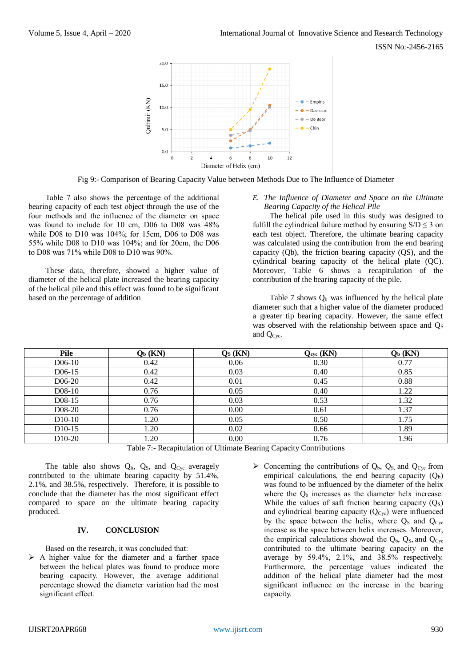

Fig 9:- Comparison of Bearing Capacity Value between Methods Due to The Influence of Diameter

Table 7 also shows the percentage of the additional bearing capacity of each test object through the use of the four methods and the influence of the diameter on space was found to include for 10 cm, D06 to D08 was 48% while D08 to D10 was 104%; for 15cm, D06 to D08 was 55% while D08 to D10 was 104%; and for 20cm, the D06 to D08 was 71% while D08 to D10 was 90%.

These data, therefore, showed a higher value of diameter of the helical plate increased the bearing capacity of the helical pile and this effect was found to be significant based on the percentage of addition

*E. The Influence of Diameter and Space on the Ultimate Bearing Capacity of the Helical Pile*

The helical pile used in this study was designed to fulfill the cylindrical failure method by ensuring  $S/D \le 3$  on each test object. Therefore, the ultimate bearing capacity was calculated using the contribution from the end bearing capacity (Qb), the friction bearing capacity (QS), and the cylindrical bearing capacity of the helical plate (QC). Moreover, Table 6 shows a recapitulation of the contribution of the bearing capacity of the pile.

Table 7 shows  $Q<sub>b</sub>$  was influenced by the helical plate diameter such that a higher value of the diameter produced a greater tip bearing capacity. However, the same effect was observed with the relationship between space and  $Q<sub>S</sub>$ and QCyc.

| Pile                | $Q_b$ (KN)  | $\mathbf{Q}_S$ (KN)                          | $Q_{\text{cyc}}$ (KN)       | $Q_b$ (KN) |
|---------------------|-------------|----------------------------------------------|-----------------------------|------------|
| D <sub>06</sub> -10 | 0.42        | 0.06                                         | 0.30                        | 0.77       |
| D <sub>06</sub> -15 | 0.42        | 0.03                                         | 0.40                        | 0.85       |
| D <sub>06</sub> -20 | 0.42        | 0.01                                         | 0.45                        | 0.88       |
| D <sub>0</sub> 8-10 | 0.76        | 0.05                                         | 0.40                        | 1.22       |
| $D08-15$            | 0.76        | 0.03                                         | 0.53                        | 1.32       |
| D <sub>0</sub> 8-20 | 0.76        | 0.00                                         | 0.61                        | 1.37       |
| D <sub>10</sub> -10 | 1.20        | 0.05                                         | 0.50                        | 1.75       |
| D <sub>10</sub> -15 | l.20        | 0.02                                         | 0.66                        | 1.89       |
| D <sub>10</sub> -20 | .20         | 0.00                                         | 0.76                        | 1.96       |
|                     | .<br>------ | $\sim$ $\sim$ $\sim$ $\sim$<br>$\sim$ $\sim$ | $\sim$ $\sim$ $\sim$ $\sim$ |            |

Table 7:- Recapitulation of Ultimate Bearing Capacity Contributions

The table also shows  $Q_b$ ,  $Q_s$ , and  $Q_{Cyc}$  averagely contributed to the ultimate bearing capacity by 51.4%, 2.1%, and 38.5%, respectively. Therefore, it is possible to conclude that the diameter has the most significant effect compared to space on the ultimate bearing capacity produced.

## **IV. CONCLUSION**

Based on the research, it was concluded that:

- $\triangleright$  A higher value for the diameter and a farther space between the helical plates was found to produce more bearing capacity. However, the average additional percentage showed the diameter variation had the most significant effect.
- $\triangleright$  Concerning the contributions of  $Q_b$ ,  $Q_s$  and  $Q_{Cyc}$  from empirical calculations, the end bearing capacity  $(Q_b)$ was found to be influenced by the diameter of the helix where the  $Q<sub>b</sub>$  increases as the diameter helx increase. While the values of saft friction bearing capacity  $(Q<sub>S</sub>)$ and cylindrical bearing capacity (Q<sub>Cyc</sub>) were influenced by the space between the helix, where  $Q_S$  and  $Q_{Cyc}$ incease as the space between helix increases. Moreover, the empirical calculations showed the  $Q_b$ ,  $Q_s$ , and  $Q_{Cyc}$ contributed to the ultimate bearing capacity on the average by 59.4%, 2.1%, and 38.5% respectively. Furthermore, the percentage values indicated the addition of the helical plate diameter had the most significant influence on the increase in the bearing capacity.